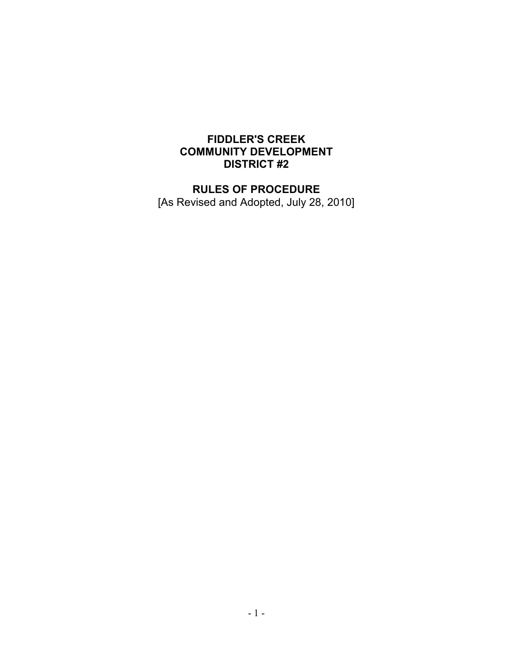# **FIDDLER'S CREEK COMMUNITY DEVELOPMENT DISTRICT #2**

# **RULES OF PROCEDURE**

[As Revised and Adopted, July 28, 2010]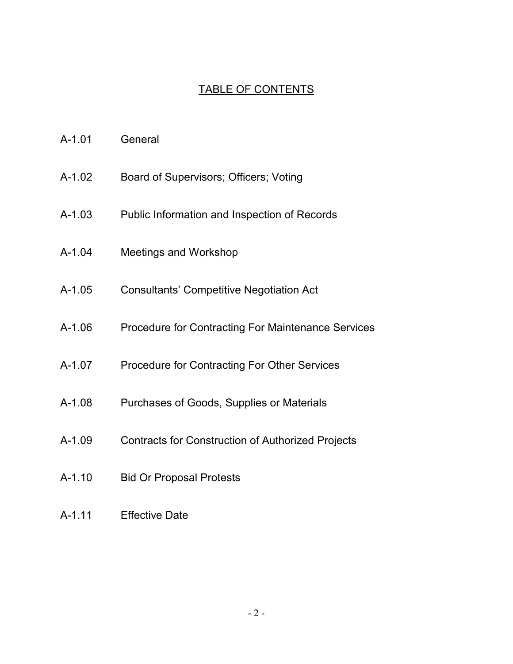# TABLE OF CONTENTS

- A-1.01 General
- A-1.02 Board of Supervisors; Officers; Voting
- A-1.03 Public Information and Inspection of Records
- A-1.04 Meetings and Workshop
- A-1.05 Consultants' Competitive Negotiation Act
- A-1.06 Procedure for Contracting For Maintenance Services
- A-1.07 Procedure for Contracting For Other Services
- A-1.08 Purchases of Goods, Supplies or Materials
- A-1.09 Contracts for Construction of Authorized Projects
- A-1.10 Bid Or Proposal Protests
- A-1.11 Effective Date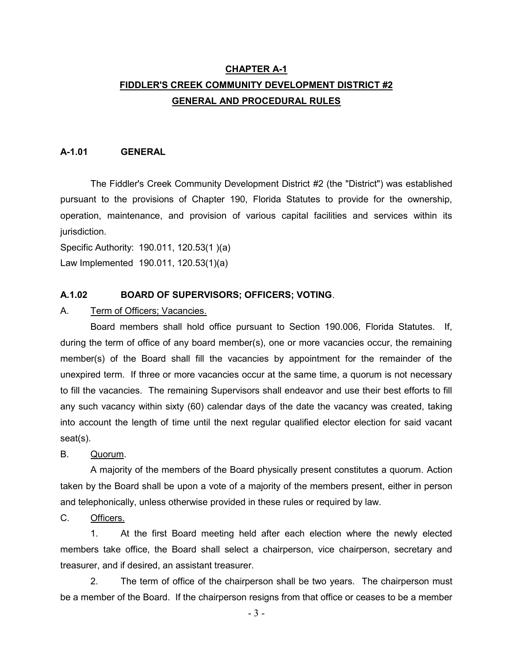# **CHAPTER A-1 FIDDLER'S CREEK COMMUNITY DEVELOPMENT DISTRICT #2 GENERAL AND PROCEDURAL RULES**

#### **A-1.01 GENERAL**

The Fiddler's Creek Community Development District #2 (the "District") was established pursuant to the provisions of Chapter 190, Florida Statutes to provide for the ownership, operation, maintenance, and provision of various capital facilities and services within its jurisdiction.

Specific Authority: 190.011, 120.53(1 )(a)

Law Implemented 190.011, 120.53(1)(a)

#### **A.1.02 BOARD OF SUPERVISORS; OFFICERS; VOTING**.

A. Term of Officers; Vacancies.

Board members shall hold office pursuant to Section 190.006, Florida Statutes. If, during the term of office of any board member(s), one or more vacancies occur, the remaining member(s) of the Board shall fill the vacancies by appointment for the remainder of the unexpired term. If three or more vacancies occur at the same time, a quorum is not necessary to fill the vacancies. The remaining Supervisors shall endeavor and use their best efforts to fill any such vacancy within sixty (60) calendar days of the date the vacancy was created, taking into account the length of time until the next regular qualified elector election for said vacant seat(s).

B. Quorum.

A majority of the members of the Board physically present constitutes a quorum. Action taken by the Board shall be upon a vote of a majority of the members present, either in person and telephonically, unless otherwise provided in these rules or required by law.

C. Officers.

1. At the first Board meeting held after each election where the newly elected members take office, the Board shall select a chairperson, vice chairperson, secretary and treasurer, and if desired, an assistant treasurer.

2. The term of office of the chairperson shall be two years. The chairperson must be a member of the Board. If the chairperson resigns from that office or ceases to be a member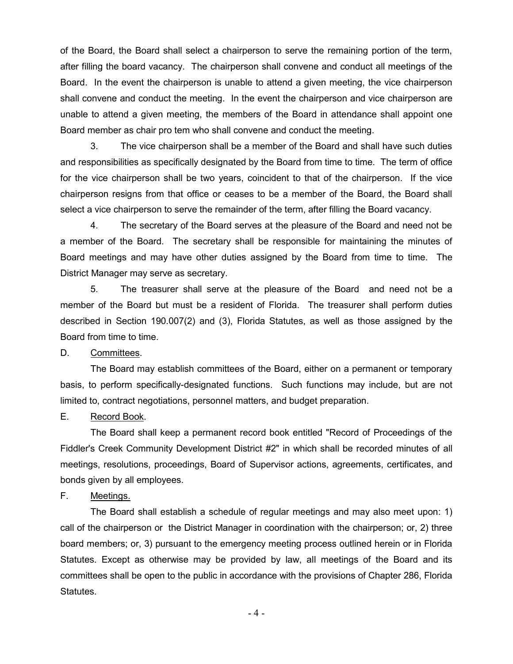of the Board, the Board shall select a chairperson to serve the remaining portion of the term, after filling the board vacancy. The chairperson shall convene and conduct all meetings of the Board. In the event the chairperson is unable to attend a given meeting, the vice chairperson shall convene and conduct the meeting. In the event the chairperson and vice chairperson are unable to attend a given meeting, the members of the Board in attendance shall appoint one Board member as chair pro tem who shall convene and conduct the meeting.

3. The vice chairperson shall be a member of the Board and shall have such duties and responsibilities as specifically designated by the Board from time to time. The term of office for the vice chairperson shall be two years, coincident to that of the chairperson. If the vice chairperson resigns from that office or ceases to be a member of the Board, the Board shall select a vice chairperson to serve the remainder of the term, after filling the Board vacancy.

4. The secretary of the Board serves at the pleasure of the Board and need not be a member of the Board. The secretary shall be responsible for maintaining the minutes of Board meetings and may have other duties assigned by the Board from time to time. The District Manager may serve as secretary.

5. The treasurer shall serve at the pleasure of the Board and need not be a member of the Board but must be a resident of Florida. The treasurer shall perform duties described in Section 190.007(2) and (3), Florida Statutes, as well as those assigned by the Board from time to time.

D. Committees.

The Board may establish committees of the Board, either on a permanent or temporary basis, to perform specifically-designated functions. Such functions may include, but are not limited to, contract negotiations, personnel matters, and budget preparation.

E. Record Book.

The Board shall keep a permanent record book entitled "Record of Proceedings of the Fiddler's Creek Community Development District #2" in which shall be recorded minutes of all meetings, resolutions, proceedings, Board of Supervisor actions, agreements, certificates, and bonds given by all employees.

F. Meetings.

The Board shall establish a schedule of regular meetings and may also meet upon: 1) call of the chairperson or the District Manager in coordination with the chairperson; or, 2) three board members; or, 3) pursuant to the emergency meeting process outlined herein or in Florida Statutes. Except as otherwise may be provided by law, all meetings of the Board and its committees shall be open to the public in accordance with the provisions of Chapter 286, Florida Statutes.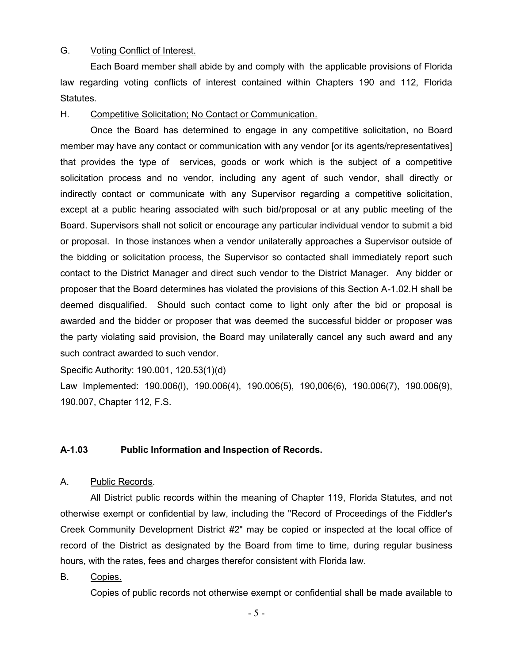## G. Voting Conflict of Interest.

Each Board member shall abide by and comply with the applicable provisions of Florida law regarding voting conflicts of interest contained within Chapters 190 and 112, Florida Statutes.

#### H. Competitive Solicitation; No Contact or Communication.

Once the Board has determined to engage in any competitive solicitation, no Board member may have any contact or communication with any vendor [or its agents/representatives] that provides the type of services, goods or work which is the subject of a competitive solicitation process and no vendor, including any agent of such vendor, shall directly or indirectly contact or communicate with any Supervisor regarding a competitive solicitation, except at a public hearing associated with such bid/proposal or at any public meeting of the Board. Supervisors shall not solicit or encourage any particular individual vendor to submit a bid or proposal. In those instances when a vendor unilaterally approaches a Supervisor outside of the bidding or solicitation process, the Supervisor so contacted shall immediately report such contact to the District Manager and direct such vendor to the District Manager. Any bidder or proposer that the Board determines has violated the provisions of this Section A-1.02.H shall be deemed disqualified. Should such contact come to light only after the bid or proposal is awarded and the bidder or proposer that was deemed the successful bidder or proposer was the party violating said provision, the Board may unilaterally cancel any such award and any such contract awarded to such vendor.

Specific Authority: 190.001, 120.53(1)(d)

Law Implemented: 190.006(l), 190.006(4), 190.006(5), 190,006(6), 190.006(7), 190.006(9), 190.007, Chapter 112, F.S.

#### **A-1.03 Public Information and Inspection of Records.**

#### A. Public Records.

All District public records within the meaning of Chapter 119, Florida Statutes, and not otherwise exempt or confidential by law, including the "Record of Proceedings of the Fiddler's Creek Community Development District #2" may be copied or inspected at the local office of record of the District as designated by the Board from time to time, during regular business hours, with the rates, fees and charges therefor consistent with Florida law.

B. Copies.

Copies of public records not otherwise exempt or confidential shall be made available to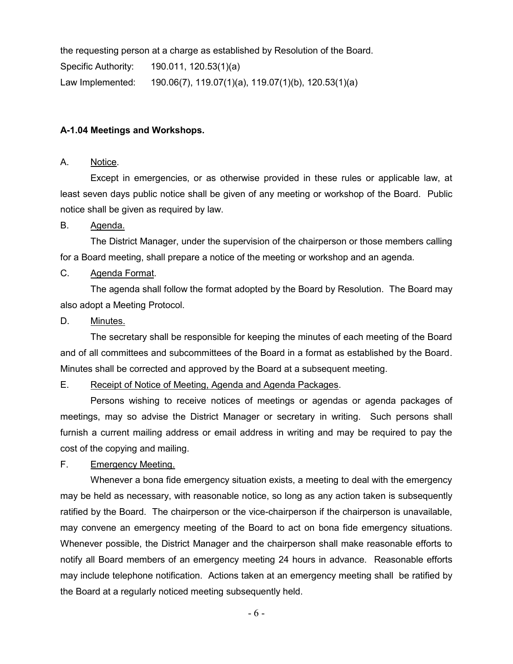| the requesting person at a charge as established by Resolution of the Board. |                                                                |  |
|------------------------------------------------------------------------------|----------------------------------------------------------------|--|
| Specific Authority:                                                          | 190.011, 120.53(1)(a)                                          |  |
| Law Implemented:                                                             | $190.06(7)$ , $119.07(1)(a)$ , $119.07(1)(b)$ , $120.53(1)(a)$ |  |

#### **A-1.04 Meetings and Workshops.**

### A. Notice.

Except in emergencies, or as otherwise provided in these rules or applicable law, at least seven days public notice shall be given of any meeting or workshop of the Board. Public notice shall be given as required by law.

#### B. Agenda.

The District Manager, under the supervision of the chairperson or those members calling for a Board meeting, shall prepare a notice of the meeting or workshop and an agenda.

# C. Agenda Format.

The agenda shall follow the format adopted by the Board by Resolution. The Board may also adopt a Meeting Protocol.

#### D. Minutes.

The secretary shall be responsible for keeping the minutes of each meeting of the Board and of all committees and subcommittees of the Board in a format as established by the Board. Minutes shall be corrected and approved by the Board at a subsequent meeting.

#### E. Receipt of Notice of Meeting, Agenda and Agenda Packages.

Persons wishing to receive notices of meetings or agendas or agenda packages of meetings, may so advise the District Manager or secretary in writing. Such persons shall furnish a current mailing address or email address in writing and may be required to pay the cost of the copying and mailing.

#### F. Emergency Meeting.

Whenever a bona fide emergency situation exists, a meeting to deal with the emergency may be held as necessary, with reasonable notice, so long as any action taken is subsequently ratified by the Board. The chairperson or the vice-chairperson if the chairperson is unavailable, may convene an emergency meeting of the Board to act on bona fide emergency situations. Whenever possible, the District Manager and the chairperson shall make reasonable efforts to notify all Board members of an emergency meeting 24 hours in advance. Reasonable efforts may include telephone notification. Actions taken at an emergency meeting shall be ratified by the Board at a regularly noticed meeting subsequently held.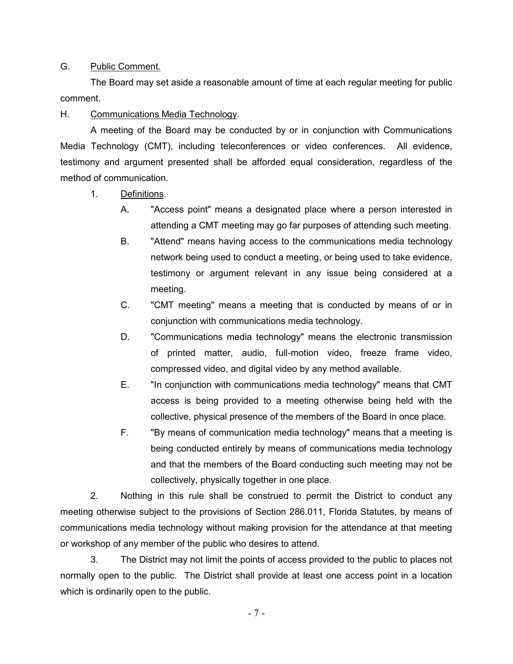## G. Public Comment.

The Board may set aside a reasonable amount of time at each regular meeting for public comment.

# H. Communications Media Technology.

A meeting of the Board may be conducted by or in conjunction with Communications Media Technology (CMT), including teleconferences or video conferences. All evidence, testimony and argument presented shall be afforded equal consideration, regardless of the method of communication.

- 1. Definitions.
	- A. "Access point" means a designated place where a person interested in attending a CMT meeting may go far purposes of attending such meeting.
	- B. "Attend" means having access to the communications media technology network being used to conduct a meeting, or being used to take evidence, testimony or argument relevant in any issue being considered at a meeting.
	- C. "CMT meeting" means a meeting that is conducted by means of or in conjunction with communications media technology.
	- D. "Communications media technology" means the electronic transmission of printed matter, audio, full-motion video, freeze frame video, compressed video, and digital video by any method available.
	- E. "In conjunction with communications media technology" means that CMT access is being provided to a meeting otherwise being held with the collective, physical presence of the members of the Board in once place.
	- F. "By means of communication media technology" means that a meeting is being conducted entirely by means of communications media technology and that the members of the Board conducting such meeting may not be collectively, physically together in one place.

2. Nothing in this rule shall be construed to permit the District to conduct any meeting otherwise subject to the provisions of Section 286.011, Florida Statutes, by means of communications media technology without making provision for the attendance at that meeting or workshop of any member of the public who desires to attend.

3. The District may not limit the points of access provided to the public to places not normally open to the public. The District shall provide at least one access point in a location which is ordinarily open to the public.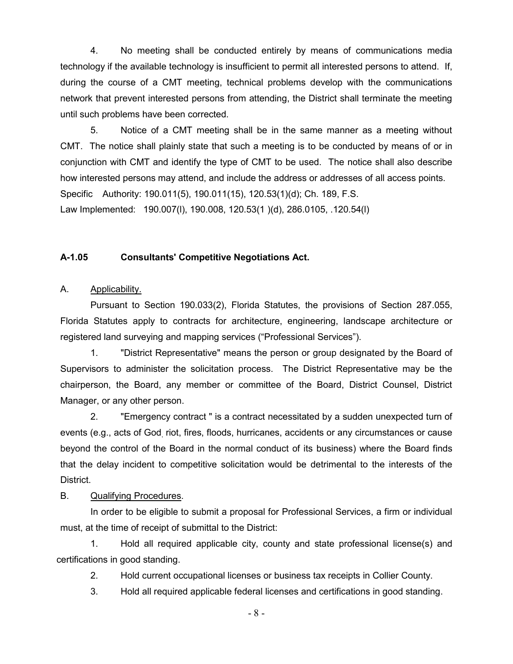4. No meeting shall be conducted entirely by means of communications media technology if the available technology is insufficient to permit all interested persons to attend. If, during the course of a CMT meeting, technical problems develop with the communications network that prevent interested persons from attending, the District shall terminate the meeting until such problems have been corrected.

5. Notice of a CMT meeting shall be in the same manner as a meeting without CMT. The notice shall plainly state that such a meeting is to be conducted by means of or in conjunction with CMT and identify the type of CMT to be used. The notice shall also describe how interested persons may attend, and include the address or addresses of all access points. Specific Authority: 190.011(5), 190.011(15), 120.53(1)(d); Ch. 189, F.S. Law Implemented: 190.007(l), 190.008, 120.53(1 )(d), 286.0105, .120.54(l)

#### **A-1.05 Consultants' Competitive Negotiations Act.**

#### A. Applicability.

Pursuant to Section 190.033(2), Florida Statutes, the provisions of Section 287.055, Florida Statutes apply to contracts for architecture, engineering, landscape architecture or registered land surveying and mapping services ("Professional Services").

1. "District Representative" means the person or group designated by the Board of Supervisors to administer the solicitation process. The District Representative may be the chairperson, the Board, any member or committee of the Board, District Counsel, District Manager, or any other person.

2. "Emergency contract " is a contract necessitated by a sudden unexpected turn of events (e.g., acts of God, riot, fires, floods, hurricanes, accidents or any circumstances or cause beyond the control of the Board in the normal conduct of its business) where the Board finds that the delay incident to competitive solicitation would be detrimental to the interests of the District.

### B. Qualifying Procedures.

In order to be eligible to submit a proposal for Professional Services, a firm or individual must, at the time of receipt of submittal to the District:

1. Hold all required applicable city, county and state professional license(s) and certifications in good standing.

2. Hold current occupational licenses or business tax receipts in Collier County.

3. Hold all required applicable federal licenses and certifications in good standing.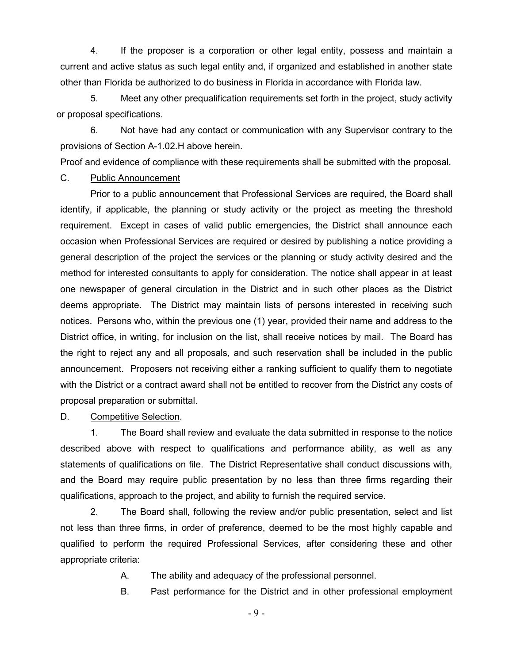4. If the proposer is a corporation or other legal entity, possess and maintain a current and active status as such legal entity and, if organized and established in another state other than Florida be authorized to do business in Florida in accordance with Florida law.

5. Meet any other prequalification requirements set forth in the project, study activity or proposal specifications.

6. Not have had any contact or communication with any Supervisor contrary to the provisions of Section A-1.02.H above herein.

Proof and evidence of compliance with these requirements shall be submitted with the proposal.

#### C. Public Announcement

Prior to a public announcement that Professional Services are required, the Board shall identify, if applicable, the planning or study activity or the project as meeting the threshold requirement. Except in cases of valid public emergencies, the District shall announce each occasion when Professional Services are required or desired by publishing a notice providing a general description of the project the services or the planning or study activity desired and the method for interested consultants to apply for consideration. The notice shall appear in at least one newspaper of general circulation in the District and in such other places as the District deems appropriate. The District may maintain lists of persons interested in receiving such notices. Persons who, within the previous one (1) year, provided their name and address to the District office, in writing, for inclusion on the list, shall receive notices by mail. The Board has the right to reject any and all proposals, and such reservation shall be included in the public announcement. Proposers not receiving either a ranking sufficient to qualify them to negotiate with the District or a contract award shall not be entitled to recover from the District any costs of proposal preparation or submittal.

## D. Competitive Selection.

1. The Board shall review and evaluate the data submitted in response to the notice described above with respect to qualifications and performance ability, as well as any statements of qualifications on file. The District Representative shall conduct discussions with, and the Board may require public presentation by no less than three firms regarding their qualifications, approach to the project, and ability to furnish the required service.

2. The Board shall, following the review and/or public presentation, select and list not less than three firms, in order of preference, deemed to be the most highly capable and qualified to perform the required Professional Services, after considering these and other appropriate criteria:

- A. The ability and adequacy of the professional personnel.
- B. Past performance for the District and in other professional employment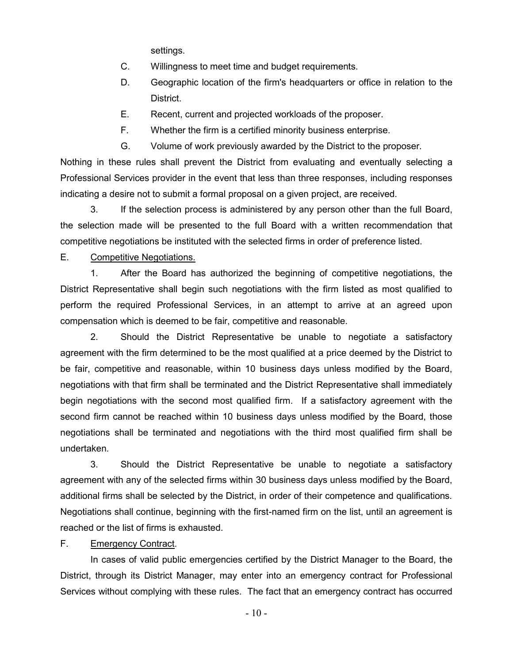settings.

- C. Willingness to meet time and budget requirements.
- D. Geographic location of the firm's headquarters or office in relation to the District.
- E. Recent, current and projected workloads of the proposer.
- F. Whether the firm is a certified minority business enterprise.
- G. Volume of work previously awarded by the District to the proposer.

Nothing in these rules shall prevent the District from evaluating and eventually selecting a Professional Services provider in the event that less than three responses, including responses indicating a desire not to submit a formal proposal on a given project, are received.

3. If the selection process is administered by any person other than the full Board, the selection made will be presented to the full Board with a written recommendation that competitive negotiations be instituted with the selected firms in order of preference listed.

# E. Competitive Negotiations.

1. After the Board has authorized the beginning of competitive negotiations, the District Representative shall begin such negotiations with the firm listed as most qualified to perform the required Professional Services, in an attempt to arrive at an agreed upon compensation which is deemed to be fair, competitive and reasonable.

2. Should the District Representative be unable to negotiate a satisfactory agreement with the firm determined to be the most qualified at a price deemed by the District to be fair, competitive and reasonable, within 10 business days unless modified by the Board, negotiations with that firm shall be terminated and the District Representative shall immediately begin negotiations with the second most qualified firm. If a satisfactory agreement with the second firm cannot be reached within 10 business days unless modified by the Board, those negotiations shall be terminated and negotiations with the third most qualified firm shall be undertaken.

3. Should the District Representative be unable to negotiate a satisfactory agreement with any of the selected firms within 30 business days unless modified by the Board, additional firms shall be selected by the District, in order of their competence and qualifications. Negotiations shall continue, beginning with the first-named firm on the list, until an agreement is reached or the list of firms is exhausted.

# F. Emergency Contract.

In cases of valid public emergencies certified by the District Manager to the Board, the District, through its District Manager, may enter into an emergency contract for Professional Services without complying with these rules. The fact that an emergency contract has occurred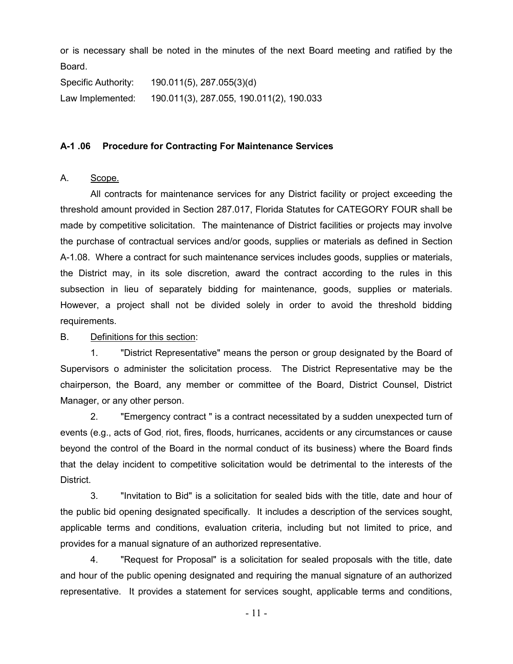or is necessary shall be noted in the minutes of the next Board meeting and ratified by the Board.

| Specific Authority: | 190.011(5), 287.055(3)(d)                |
|---------------------|------------------------------------------|
| Law Implemented:    | 190.011(3), 287.055, 190.011(2), 190.033 |

### **A-1 .06 Procedure for Contracting For Maintenance Services**

## A. Scope.

All contracts for maintenance services for any District facility or project exceeding the threshold amount provided in Section 287.017, Florida Statutes for CATEGORY FOUR shall be made by competitive solicitation. The maintenance of District facilities or projects may involve the purchase of contractual services and/or goods, supplies or materials as defined in Section A-1.08. Where a contract for such maintenance services includes goods, supplies or materials, the District may, in its sole discretion, award the contract according to the rules in this subsection in lieu of separately bidding for maintenance, goods, supplies or materials. However, a project shall not be divided solely in order to avoid the threshold bidding requirements.

### B. Definitions for this section:

1. "District Representative" means the person or group designated by the Board of Supervisors o administer the solicitation process. The District Representative may be the chairperson, the Board, any member or committee of the Board, District Counsel, District Manager, or any other person.

2. "Emergency contract " is a contract necessitated by a sudden unexpected turn of events (e.g., acts of God, riot, fires, floods, hurricanes, accidents or any circumstances or cause beyond the control of the Board in the normal conduct of its business) where the Board finds that the delay incident to competitive solicitation would be detrimental to the interests of the District.

3. "Invitation to Bid" is a solicitation for sealed bids with the title, date and hour of the public bid opening designated specifically. It includes a description of the services sought, applicable terms and conditions, evaluation criteria, including but not limited to price, and provides for a manual signature of an authorized representative.

4. "Request for Proposal" is a solicitation for sealed proposals with the title, date and hour of the public opening designated and requiring the manual signature of an authorized representative. It provides a statement for services sought, applicable terms and conditions,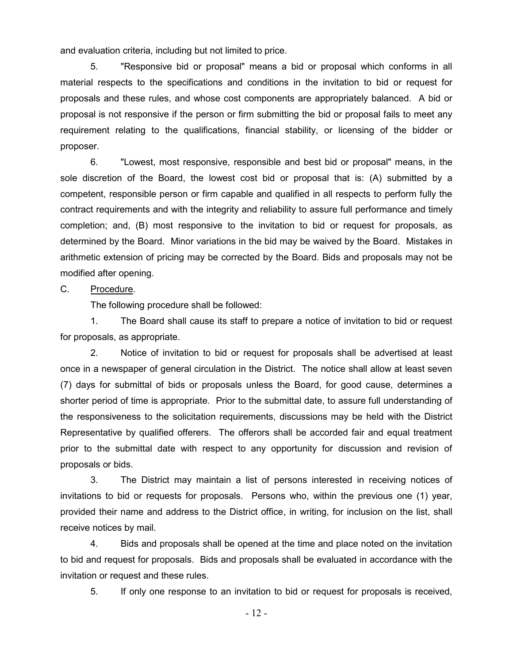and evaluation criteria, including but not limited to price.

5. "Responsive bid or proposal" means a bid or proposal which conforms in all material respects to the specifications and conditions in the invitation to bid or request for proposals and these rules, and whose cost components are appropriately balanced. A bid or proposal is not responsive if the person or firm submitting the bid or proposal fails to meet any requirement relating to the qualifications, financial stability, or licensing of the bidder or proposer.

6. "Lowest, most responsive, responsible and best bid or proposal" means, in the sole discretion of the Board, the lowest cost bid or proposal that is: (A) submitted by a competent, responsible person or firm capable and qualified in all respects to perform fully the contract requirements and with the integrity and reliability to assure full performance and timely completion; and, (B) most responsive to the invitation to bid or request for proposals, as determined by the Board. Minor variations in the bid may be waived by the Board. Mistakes in arithmetic extension of pricing may be corrected by the Board. Bids and proposals may not be modified after opening.

# C. Procedure.

The following procedure shall be followed:

1. The Board shall cause its staff to prepare a notice of invitation to bid or request for proposals, as appropriate.

2. Notice of invitation to bid or request for proposals shall be advertised at least once in a newspaper of general circulation in the District. The notice shall allow at least seven (7) days for submittal of bids or proposals unless the Board, for good cause, determines a shorter period of time is appropriate. Prior to the submittal date, to assure full understanding of the responsiveness to the solicitation requirements, discussions may be held with the District Representative by qualified offerers. The offerors shall be accorded fair and equal treatment prior to the submittal date with respect to any opportunity for discussion and revision of proposals or bids.

3. The District may maintain a list of persons interested in receiving notices of invitations to bid or requests for proposals. Persons who, within the previous one (1) year, provided their name and address to the District office, in writing, for inclusion on the list, shall receive notices by mail.

4. Bids and proposals shall be opened at the time and place noted on the invitation to bid and request for proposals. Bids and proposals shall be evaluated in accordance with the invitation or request and these rules.

5. If only one response to an invitation to bid or request for proposals is received,

- 12 -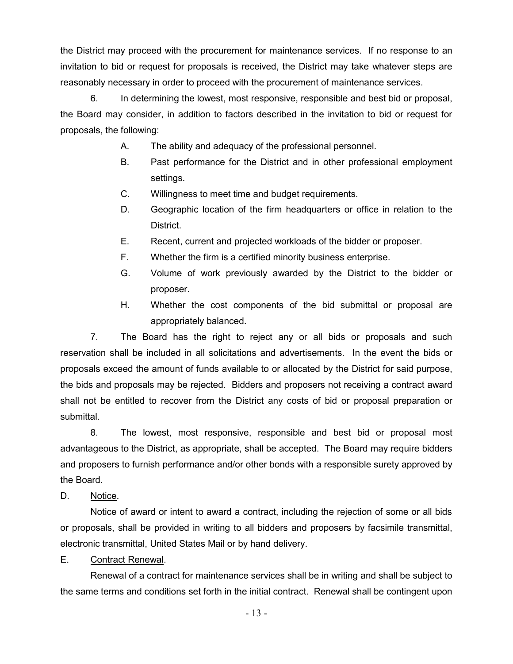the District may proceed with the procurement for maintenance services. If no response to an invitation to bid or request for proposals is received, the District may take whatever steps are reasonably necessary in order to proceed with the procurement of maintenance services.

6. In determining the lowest, most responsive, responsible and best bid or proposal, the Board may consider, in addition to factors described in the invitation to bid or request for proposals, the following:

- A. The ability and adequacy of the professional personnel.
- B. Past performance for the District and in other professional employment settings.
- C. Willingness to meet time and budget requirements.
- D. Geographic location of the firm headquarters or office in relation to the District.
- E. Recent, current and projected workloads of the bidder or proposer.
- F. Whether the firm is a certified minority business enterprise.
- G. Volume of work previously awarded by the District to the bidder or proposer.
- H. Whether the cost components of the bid submittal or proposal are appropriately balanced.

7. The Board has the right to reject any or all bids or proposals and such reservation shall be included in all solicitations and advertisements. In the event the bids or proposals exceed the amount of funds available to or allocated by the District for said purpose, the bids and proposals may be rejected. Bidders and proposers not receiving a contract award shall not be entitled to recover from the District any costs of bid or proposal preparation or submittal.

8. The lowest, most responsive, responsible and best bid or proposal most advantageous to the District, as appropriate, shall be accepted. The Board may require bidders and proposers to furnish performance and/or other bonds with a responsible surety approved by the Board.

D. Notice.

Notice of award or intent to award a contract, including the rejection of some or all bids or proposals, shall be provided in writing to all bidders and proposers by facsimile transmittal, electronic transmittal, United States Mail or by hand delivery.

## E. Contract Renewal.

Renewal of a contract for maintenance services shall be in writing and shall be subject to the same terms and conditions set forth in the initial contract. Renewal shall be contingent upon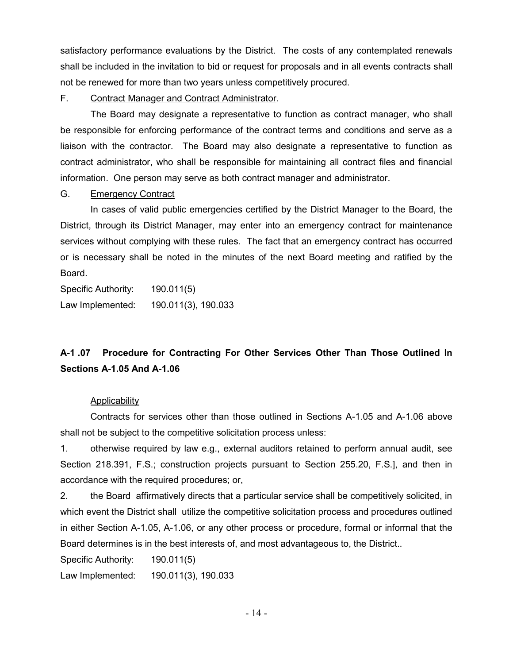satisfactory performance evaluations by the District. The costs of any contemplated renewals shall be included in the invitation to bid or request for proposals and in all events contracts shall not be renewed for more than two years unless competitively procured.

F. Contract Manager and Contract Administrator.

The Board may designate a representative to function as contract manager, who shall be responsible for enforcing performance of the contract terms and conditions and serve as a liaison with the contractor. The Board may also designate a representative to function as contract administrator, who shall be responsible for maintaining all contract files and financial information. One person may serve as both contract manager and administrator.

## G. Emergency Contract

In cases of valid public emergencies certified by the District Manager to the Board, the District, through its District Manager, may enter into an emergency contract for maintenance services without complying with these rules. The fact that an emergency contract has occurred or is necessary shall be noted in the minutes of the next Board meeting and ratified by the Board.

Specific Authority: 190.011(5) Law Implemented: 190.011(3), 190.033

# **A-1 .07 Procedure for Contracting For Other Services Other Than Those Outlined In Sections A-1.05 And A-1.06**

# **Applicability**

Contracts for services other than those outlined in Sections A-1.05 and A-1.06 above shall not be subject to the competitive solicitation process unless:

1. otherwise required by law e.g., external auditors retained to perform annual audit, see Section 218.391, F.S.; construction projects pursuant to Section 255.20, F.S.], and then in accordance with the required procedures; or,

2. the Board affirmatively directs that a particular service shall be competitively solicited, in which event the District shall utilize the competitive solicitation process and procedures outlined in either Section A-1.05, A-1.06, or any other process or procedure, formal or informal that the Board determines is in the best interests of, and most advantageous to, the District..

Specific Authority: 190.011(5)

Law Implemented: 190.011(3), 190.033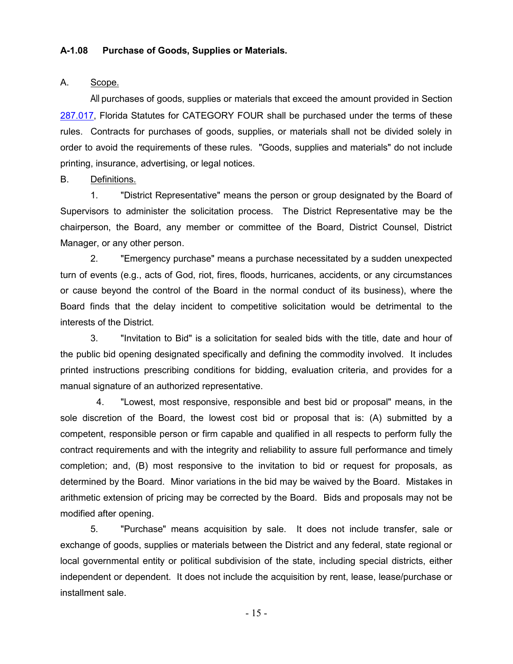#### **A-1.08 Purchase of Goods, Supplies or Materials.**

#### A. Scope.

All purchases of goods, supplies or materials that exceed the amount provided in Section [287.017,](file:///C:/Documents%20and%20Settings/gillyardd/Local%20Settings/Temporary%20Internet%20Files/Content.Outlook/LWB6DWDX/index.cfm%3fApp_mode=Display_Statute&Search_String=&URL=Ch0287/Sec017.HTM) Florida Statutes for CATEGORY FOUR shall be purchased under the terms of these rules. Contracts for purchases of goods, supplies, or materials shall not be divided solely in order to avoid the requirements of these rules. "Goods, supplies and materials" do not include printing, insurance, advertising, or legal notices.

## B. Definitions.

1. "District Representative" means the person or group designated by the Board of Supervisors to administer the solicitation process. The District Representative may be the chairperson, the Board, any member or committee of the Board, District Counsel, District Manager, or any other person.

2. "Emergency purchase" means a purchase necessitated by a sudden unexpected turn of events (e.g., acts of God, riot, fires, floods, hurricanes, accidents, or any circumstances or cause beyond the control of the Board in the normal conduct of its business), where the Board finds that the delay incident to competitive solicitation would be detrimental to the interests of the District.

3. "Invitation to Bid" is a solicitation for sealed bids with the title, date and hour of the public bid opening designated specifically and defining the commodity involved. It includes printed instructions prescribing conditions for bidding, evaluation criteria, and provides for a manual signature of an authorized representative.

4. "Lowest, most responsive, responsible and best bid or proposal" means, in the sole discretion of the Board, the lowest cost bid or proposal that is: (A) submitted by a competent, responsible person or firm capable and qualified in all respects to perform fully the contract requirements and with the integrity and reliability to assure full performance and timely completion; and, (B) most responsive to the invitation to bid or request for proposals, as determined by the Board. Minor variations in the bid may be waived by the Board. Mistakes in arithmetic extension of pricing may be corrected by the Board. Bids and proposals may not be modified after opening.

5. "Purchase" means acquisition by sale. It does not include transfer, sale or exchange of goods, supplies or materials between the District and any federal, state regional or local governmental entity or political subdivision of the state, including special districts, either independent or dependent. It does not include the acquisition by rent, lease, lease/purchase or installment sale.

- 15 -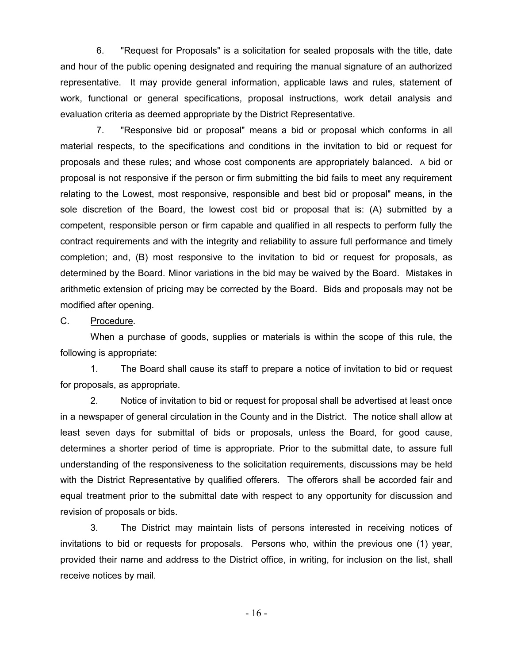6. "Request for Proposals" is a solicitation for sealed proposals with the title, date and hour of the public opening designated and requiring the manual signature of an authorized representative. It may provide general information, applicable laws and rules, statement of work, functional or general specifications, proposal instructions, work detail analysis and evaluation criteria as deemed appropriate by the District Representative.

7. "Responsive bid or proposal" means a bid or proposal which conforms in all material respects, to the specifications and conditions in the invitation to bid or request for proposals and these rules; and whose cost components are appropriately balanced. A bid or proposal is not responsive if the person or firm submitting the bid fails to meet any requirement relating to the Lowest, most responsive, responsible and best bid or proposal" means, in the sole discretion of the Board, the lowest cost bid or proposal that is: (A) submitted by a competent, responsible person or firm capable and qualified in all respects to perform fully the contract requirements and with the integrity and reliability to assure full performance and timely completion; and, (B) most responsive to the invitation to bid or request for proposals, as determined by the Board. Minor variations in the bid may be waived by the Board. Mistakes in arithmetic extension of pricing may be corrected by the Board. Bids and proposals may not be modified after opening.

#### C. Procedure.

When a purchase of goods, supplies or materials is within the scope of this rule, the following is appropriate:

1. The Board shall cause its staff to prepare a notice of invitation to bid or request for proposals, as appropriate.

2. Notice of invitation to bid or request for proposal shall be advertised at least once in a newspaper of general circulation in the County and in the District. The notice shall allow at least seven days for submittal of bids or proposals, unless the Board, for good cause, determines a shorter period of time is appropriate. Prior to the submittal date, to assure full understanding of the responsiveness to the solicitation requirements, discussions may be held with the District Representative by qualified offerers. The offerors shall be accorded fair and equal treatment prior to the submittal date with respect to any opportunity for discussion and revision of proposals or bids.

3. The District may maintain lists of persons interested in receiving notices of invitations to bid or requests for proposals. Persons who, within the previous one (1) year, provided their name and address to the District office, in writing, for inclusion on the list, shall receive notices by mail.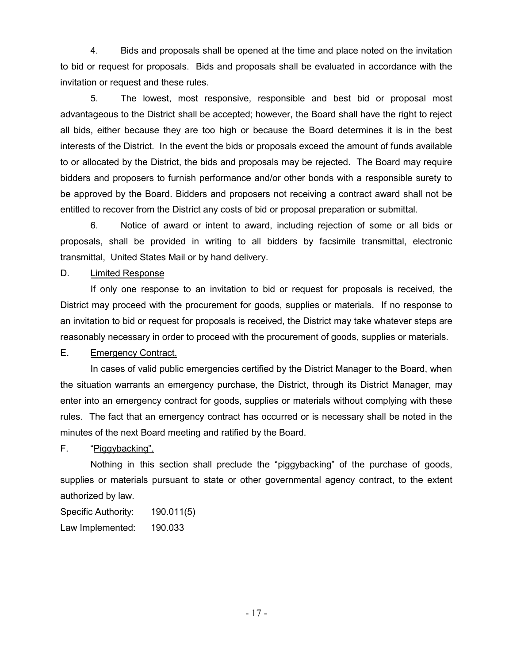4. Bids and proposals shall be opened at the time and place noted on the invitation to bid or request for proposals. Bids and proposals shall be evaluated in accordance with the invitation or request and these rules.

5. The lowest, most responsive, responsible and best bid or proposal most advantageous to the District shall be accepted; however, the Board shall have the right to reject all bids, either because they are too high or because the Board determines it is in the best interests of the District. In the event the bids or proposals exceed the amount of funds available to or allocated by the District, the bids and proposals may be rejected. The Board may require bidders and proposers to furnish performance and/or other bonds with a responsible surety to be approved by the Board. Bidders and proposers not receiving a contract award shall not be entitled to recover from the District any costs of bid or proposal preparation or submittal.

6. Notice of award or intent to award, including rejection of some or all bids or proposals, shall be provided in writing to all bidders by facsimile transmittal, electronic transmittal, United States Mail or by hand delivery.

## D. Limited Response

If only one response to an invitation to bid or request for proposals is received, the District may proceed with the procurement for goods, supplies or materials. If no response to an invitation to bid or request for proposals is received, the District may take whatever steps are reasonably necessary in order to proceed with the procurement of goods, supplies or materials.

# E. Emergency Contract.

In cases of valid public emergencies certified by the District Manager to the Board, when the situation warrants an emergency purchase, the District, through its District Manager, may enter into an emergency contract for goods, supplies or materials without complying with these rules. The fact that an emergency contract has occurred or is necessary shall be noted in the minutes of the next Board meeting and ratified by the Board.

F. "Piggybacking".

Nothing in this section shall preclude the "piggybacking" of the purchase of goods, supplies or materials pursuant to state or other governmental agency contract, to the extent authorized by law.

Specific Authority: 190.011(5)

Law Implemented: 190.033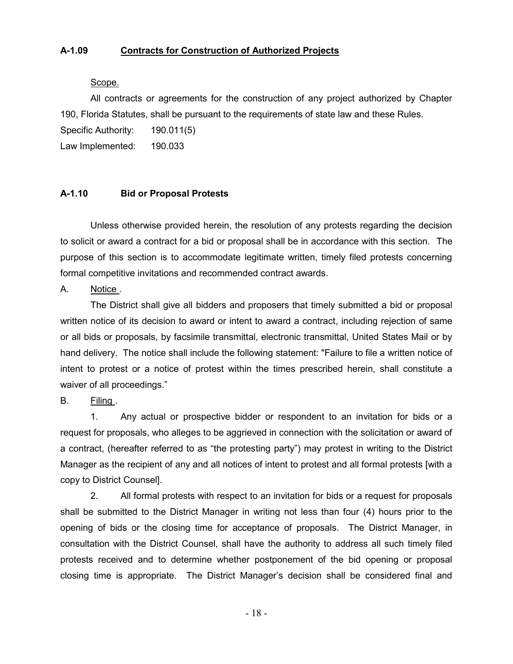## **A-1.09 Contracts for Construction of Authorized Projects**

## Scope.

All contracts or agreements for the construction of any project authorized by Chapter 190, Florida Statutes, shall be pursuant to the requirements of state law and these Rules.

Specific Authority: 190.011(5)

Law Implemented: 190.033

### **A-1.10 Bid or Proposal Protests**

Unless otherwise provided herein, the resolution of any protests regarding the decision to solicit or award a contract for a bid or proposal shall be in accordance with this section. The purpose of this section is to accommodate legitimate written, timely filed protests concerning formal competitive invitations and recommended contract awards.

A. Notice .

The District shall give all bidders and proposers that timely submitted a bid or proposal written notice of its decision to award or intent to award a contract, including rejection of same or all bids or proposals, by facsimile transmittal, electronic transmittal, United States Mail or by hand delivery. The notice shall include the following statement: "Failure to file a written notice of intent to protest or a notice of protest within the times prescribed herein, shall constitute a waiver of all proceedings."

B. Filing .

1. Any actual or prospective bidder or respondent to an invitation for bids or a request for proposals, who alleges to be aggrieved in connection with the solicitation or award of a contract, (hereafter referred to as "the protesting party") may protest in writing to the District Manager as the recipient of any and all notices of intent to protest and all formal protests [with a copy to District Counsel].

2. All formal protests with respect to an invitation for bids or a request for proposals shall be submitted to the District Manager in writing not less than four (4) hours prior to the opening of bids or the closing time for acceptance of proposals. The District Manager, in consultation with the District Counsel, shall have the authority to address all such timely filed protests received and to determine whether postponement of the bid opening or proposal closing time is appropriate. The District Manager's decision shall be considered final and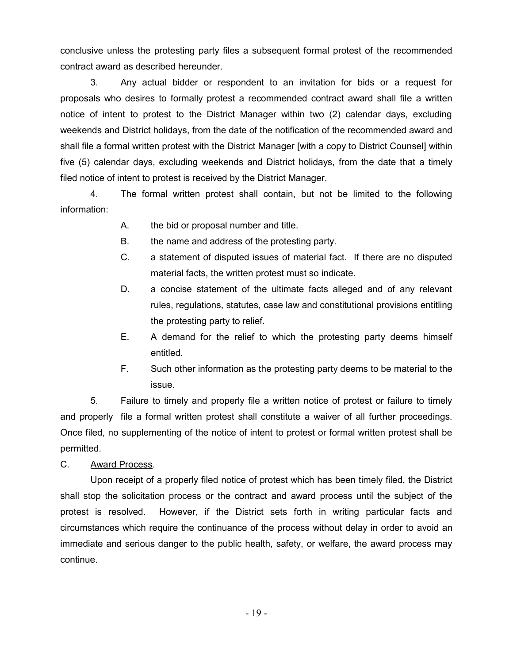conclusive unless the protesting party files a subsequent formal protest of the recommended contract award as described hereunder.

3. Any actual bidder or respondent to an invitation for bids or a request for proposals who desires to formally protest a recommended contract award shall file a written notice of intent to protest to the District Manager within two (2) calendar days, excluding weekends and District holidays, from the date of the notification of the recommended award and shall file a formal written protest with the District Manager [with a copy to District Counsel] within five (5) calendar days, excluding weekends and District holidays, from the date that a timely filed notice of intent to protest is received by the District Manager.

4. The formal written protest shall contain, but not be limited to the following information:

- A. the bid or proposal number and title.
- B. the name and address of the protesting party.
- C. a statement of disputed issues of material fact. If there are no disputed material facts, the written protest must so indicate.
- D. a concise statement of the ultimate facts alleged and of any relevant rules, regulations, statutes, case law and constitutional provisions entitling the protesting party to relief.
- E. A demand for the relief to which the protesting party deems himself entitled.
- F. Such other information as the protesting party deems to be material to the issue.

5. Failure to timely and properly file a written notice of protest or failure to timely and properly file a formal written protest shall constitute a waiver of all further proceedings. Once filed, no supplementing of the notice of intent to protest or formal written protest shall be permitted.

C. Award Process.

Upon receipt of a properly filed notice of protest which has been timely filed, the District shall stop the solicitation process or the contract and award process until the subject of the protest is resolved. However, if the District sets forth in writing particular facts and circumstances which require the continuance of the process without delay in order to avoid an immediate and serious danger to the public health, safety, or welfare, the award process may continue.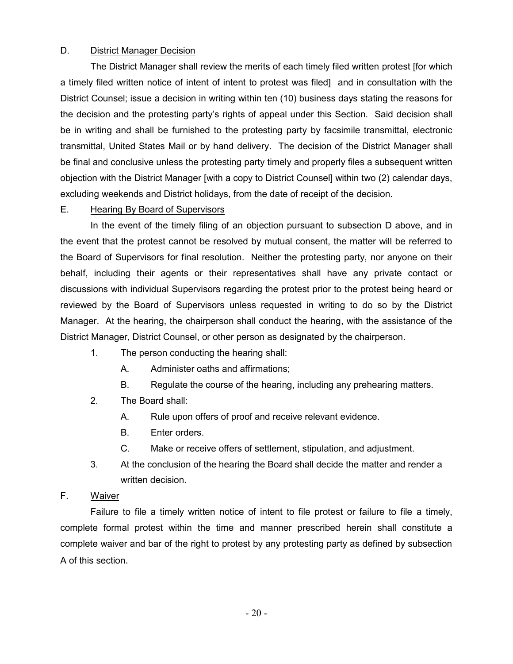# D. District Manager Decision

The District Manager shall review the merits of each timely filed written protest [for which a timely filed written notice of intent of intent to protest was filed] and in consultation with the District Counsel; issue a decision in writing within ten (10) business days stating the reasons for the decision and the protesting party's rights of appeal under this Section. Said decision shall be in writing and shall be furnished to the protesting party by facsimile transmittal, electronic transmittal, United States Mail or by hand delivery. The decision of the District Manager shall be final and conclusive unless the protesting party timely and properly files a subsequent written objection with the District Manager [with a copy to District Counsel] within two (2) calendar days, excluding weekends and District holidays, from the date of receipt of the decision.

## E. Hearing By Board of Supervisors

In the event of the timely filing of an objection pursuant to subsection D above, and in the event that the protest cannot be resolved by mutual consent, the matter will be referred to the Board of Supervisors for final resolution. Neither the protesting party, nor anyone on their behalf, including their agents or their representatives shall have any private contact or discussions with individual Supervisors regarding the protest prior to the protest being heard or reviewed by the Board of Supervisors unless requested in writing to do so by the District Manager. At the hearing, the chairperson shall conduct the hearing, with the assistance of the District Manager, District Counsel, or other person as designated by the chairperson.

- 1. The person conducting the hearing shall:
	- A. Administer oaths and affirmations;
	- B. Regulate the course of the hearing, including any prehearing matters.
- 2. The Board shall:
	- A. Rule upon offers of proof and receive relevant evidence.
	- B. Enter orders.
	- C. Make or receive offers of settlement, stipulation, and adjustment.
- 3. At the conclusion of the hearing the Board shall decide the matter and render a written decision.

# F. Waiver

Failure to file a timely written notice of intent to file protest or failure to file a timely, complete formal protest within the time and manner prescribed herein shall constitute a complete waiver and bar of the right to protest by any protesting party as defined by subsection A of this section.